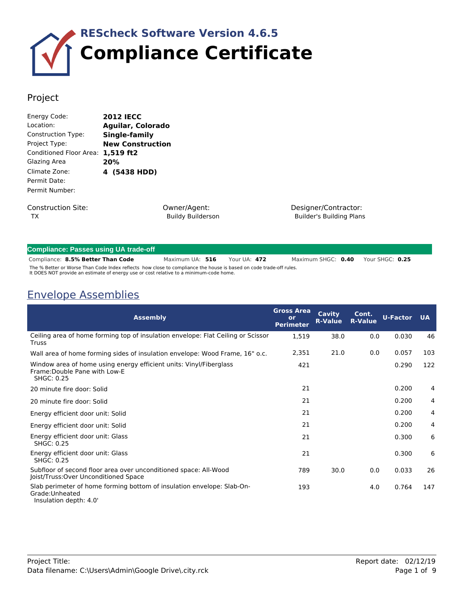

## Project

| Energy Code:            | <b>2012 IECC</b>         |
|-------------------------|--------------------------|
| Location:               | <b>Aguilar, Colorado</b> |
| Construction Type:      | Single-family            |
| Project Type:           | <b>New Construction</b>  |
| Conditioned Floor Area: | 1,519 ft2                |
| Glazing Area            | 20%                      |
| Climate Zone:           | 4 (5438 HDD)             |
| Permit Date:            |                          |
| Permit Number:          |                          |
| Construction Site:      |                          |

TX

Owner/Agent: Buildy Builderson Designer/Contractor: Builder's Building Plans

| <b>Compliance: Passes using UA trade-off</b>                                                                                                                                                                 |                 |  |              |  |                    |                 |
|--------------------------------------------------------------------------------------------------------------------------------------------------------------------------------------------------------------|-----------------|--|--------------|--|--------------------|-----------------|
| Compliance: 8.5% Better Than Code                                                                                                                                                                            | Maximum UA: 516 |  | Your UA: 472 |  | Maximum SHGC: 0.40 | Your SHGC: 0.25 |
| The % Better or Worse Than Code Index reflects how close to compliance the house is based on code trade-off rules.<br>It DOES NOT provide an estimate of energy use or cost relative to a minimum-code home. |                 |  |              |  |                    |                 |

## Envelope Assemblies

| <b>Assembly</b>                                                                                                          | <b>Gross Area</b><br>or<br><b>Perimeter</b> | Cavity<br><b>R-Value</b> | Cont.<br><b>R-Value</b> | <b>U-Factor UA</b> |                |
|--------------------------------------------------------------------------------------------------------------------------|---------------------------------------------|--------------------------|-------------------------|--------------------|----------------|
| Ceiling area of home forming top of insulation envelope: Flat Ceiling or Scissor<br>Truss                                | 1,519                                       | 38.0                     | 0.0                     | 0.030              | 46             |
| Wall area of home forming sides of insulation envelope: Wood Frame, 16" o.c.                                             | 2,351                                       | 21.0                     | 0.0                     | 0.057              | 103            |
| Window area of home using energy efficient units: Vinyl/Fiberglass<br>Frame: Double Pane with Low-E<br><b>SHGC: 0.25</b> | 421                                         |                          |                         | 0.290              | 122            |
| 20 minute fire door: Solid                                                                                               | 21                                          |                          |                         | 0.200              | 4              |
| 20 minute fire door: Solid                                                                                               | 21                                          |                          |                         | 0.200              | 4              |
| Energy efficient door unit: Solid                                                                                        | 21                                          |                          |                         | 0.200              | 4              |
| Energy efficient door unit: Solid                                                                                        | 21                                          |                          |                         | 0.200              | $\overline{4}$ |
| Energy efficient door unit: Glass<br>SHGC: 0.25                                                                          | 21                                          |                          |                         | 0.300              | 6              |
| Energy efficient door unit: Glass<br><b>SHGC: 0.25</b>                                                                   | 21                                          |                          |                         | 0.300              | 6              |
| Subfloor of second floor area over unconditioned space: All-Wood<br>Joist/Truss: Over Unconditioned Space                | 789                                         | 30.0                     | 0.0                     | 0.033              | 26             |
| Slab perimeter of home forming bottom of insulation envelope: Slab-On-<br>Grade: Unheated<br>Insulation depth: 4.0'      | 193                                         |                          | 4.0                     | 0.764              | 147            |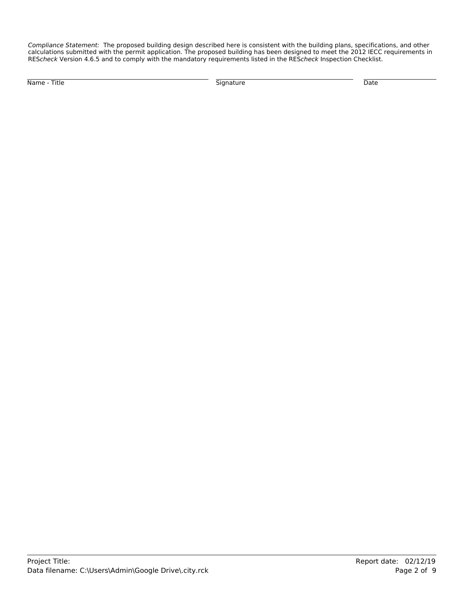*Compliance Statement:* The proposed building design described here is consistent with the building plans, specifications, and other calculations submitted with the permit application. The proposed building has been designed to meet the 2012 IECC requirements in RES*check* Version 4.6.5 and to comply with the mandatory requirements listed in the RES*check* Inspection Checklist.

Name - Title Signature Date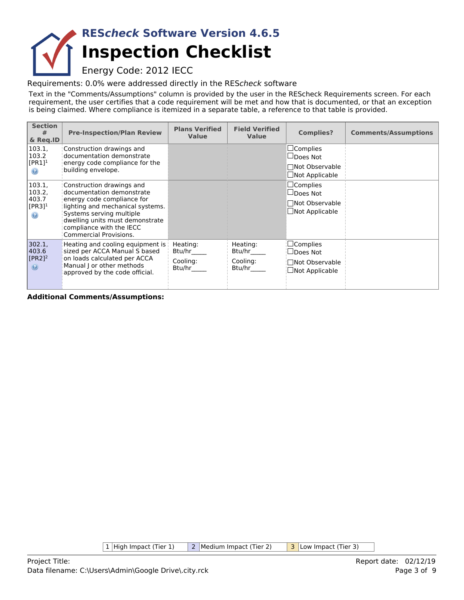## **Inspection Checklist RES***check* **Software Version 4.6.5**

Energy Code: 2012 IECC

Requirements: 0.0% were addressed directly in the RES*check* software

Text in the "Comments/Assumptions" column is provided by the user in the REScheck Requirements screen. For each requirement, the user certifies that a code requirement will be met and how that is documented, or that an exception is being claimed. Where compliance is itemized in a separate table, a reference to that table is provided.

| <b>Section</b><br>#<br>& Reg.ID                        | <b>Pre-Inspection/Plan Review</b>                                                                                                                                                                                                             | <b>Plans Verified</b><br><b>Value</b>    | <b>Field Verified</b><br><b>Value</b>    | <b>Complies?</b>                                                                        | <b>Comments/Assumptions</b> |
|--------------------------------------------------------|-----------------------------------------------------------------------------------------------------------------------------------------------------------------------------------------------------------------------------------------------|------------------------------------------|------------------------------------------|-----------------------------------------------------------------------------------------|-----------------------------|
| 103.1,<br>103.2<br>$[PR1]$ <sup>1</sup>                | Construction drawings and<br>documentation demonstrate<br>energy code compliance for the<br>building envelope.                                                                                                                                |                                          |                                          | $\square$ Complies<br>$\Box$ Does Not<br><b>Not Observable</b><br>$\Box$ Not Applicable |                             |
| 103.1,<br>103.2,<br>403.7<br>$[PR3]$ <sup>1</sup><br>◉ | Construction drawings and<br>documentation demonstrate<br>energy code compliance for<br>lighting and mechanical systems.<br>Systems serving multiple<br>dwelling units must demonstrate<br>compliance with the IECC<br>Commercial Provisions. |                                          |                                          | $\square$ Complies<br>$\Box$ Does Not<br>□ Not Observable<br>$\Box$ Not Applicable      |                             |
| 302.1,<br>403.6<br>$[PR2]$ <sup>2</sup><br>$\odot$     | Heating and cooling equipment is $\parallel$<br>sized per ACCA Manual S based<br>on loads calculated per ACCA<br>Manual J or other methods<br>approved by the code official.                                                                  | Heating:<br>Btu/hr<br>Cooling:<br>Btu/hr | Heating:<br>Btu/hr<br>Cooling:<br>Btu/hr | $\square$ Complies<br>⊿Does Not<br>Not Observable<br>$\Box$ Not Applicable              |                             |

**Additional Comments/Assumptions:**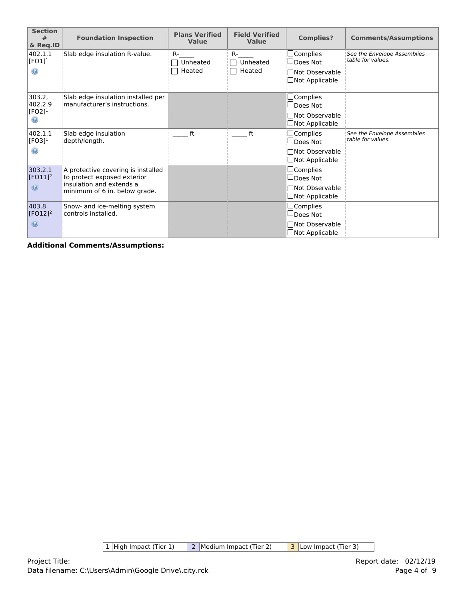| <b>Section</b><br>#<br>& Reg.ID                             | <b>Foundation Inspection</b>                                                                                                   | <b>Plans Verified</b><br><b>Value</b> | <b>Field Verified</b><br><b>Value</b> | <b>Complies?</b>                                                               | <b>Comments/Assumptions</b>                      |
|-------------------------------------------------------------|--------------------------------------------------------------------------------------------------------------------------------|---------------------------------------|---------------------------------------|--------------------------------------------------------------------------------|--------------------------------------------------|
| 402.1.1<br>$[FO1]$ <sup>1</sup><br>$\odot$                  | Slab edge insulation R-value.                                                                                                  | $R -$<br>Unheated<br>Heated           | <b>R-</b><br>Unheated<br>Heated       | $\Box$ Complies<br>$\Box$ Does Not<br>□Not Observable<br>$\Box$ Not Applicable | See the Envelope Assemblies<br>table for values. |
| 303.2,<br>402.2.9<br>$[FO2]$ <sup>1</sup><br>$\circledcirc$ | Slab edge insulation installed per<br>manufacturer's instructions.                                                             |                                       |                                       | $\Box$ Complies<br>$\Box$ Does Not<br>□Not Observable<br>$\Box$ Not Applicable |                                                  |
| 402.1.1<br>$[FO3]$ <sup>1</sup><br>$_{\odot}$               | Slab edge insulation<br>depth/length.                                                                                          | ft                                    | ft                                    | $\Box$ Complies<br>$\Box$ Does Not<br>□Not Observable<br>$\Box$ Not Applicable | See the Envelope Assemblies<br>table for values. |
| 303.2.1<br>$[FO11]^{2}$<br>$\circledcirc$                   | A protective covering is installed<br>to protect exposed exterior<br>insulation and extends a<br>minimum of 6 in. below grade. |                                       |                                       | $\Box$ Complies<br>$\Box$ Does Not<br>□Not Observable<br>$\Box$ Not Applicable |                                                  |
| 403.8<br>$[FO12]^{2}$<br>$\circledcirc$                     | Snow- and ice-melting system<br>controls installed.                                                                            |                                       |                                       | $\Box$ Complies<br>$\Box$ Does Not<br>□Not Observable<br>$\Box$ Not Applicable |                                                  |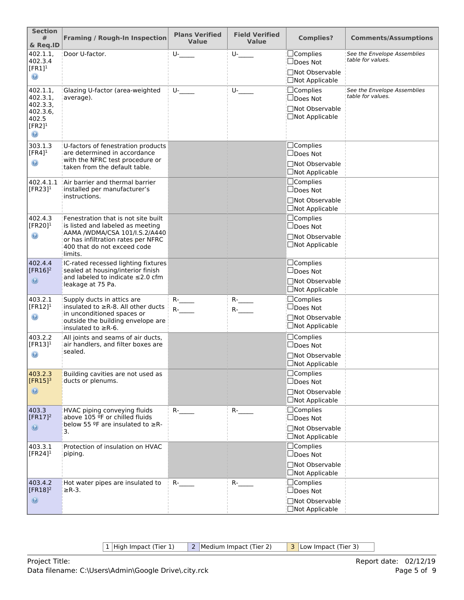| <b>Section</b><br>#<br>& Req.ID                                        | <b>Framing / Rough-In Inspection</b>                                                                          | <b>Plans Verified</b><br><b>Value</b> | <b>Field Verified</b><br><b>Value</b> | <b>Complies?</b>                         | <b>Comments/Assumptions</b>                      |
|------------------------------------------------------------------------|---------------------------------------------------------------------------------------------------------------|---------------------------------------|---------------------------------------|------------------------------------------|--------------------------------------------------|
| 402.1.1,<br>402.3.4<br>$[FR1]$ <sup>1</sup>                            | Door U-factor.                                                                                                | $U$ -                                 | $U$ - $\qquad$                        | $\Box$ Complies<br>$\Box$ Does Not       | See the Envelope Assemblies<br>table for values. |
| $_{\odot}$                                                             |                                                                                                               |                                       |                                       | □Not Observable<br>□Not Applicable       |                                                  |
| 402.1.1,<br>402.3.1,                                                   | Glazing U-factor (area-weighted<br>average).                                                                  | $U$ -                                 | $U$ - $\qquad$                        | $\Box$ Complies<br>$\Box$ Does Not       | See the Envelope Assemblies<br>table for values. |
| 402.3.3,<br>402.3.6,<br>402.5<br>$[FR2]$ <sup>1</sup><br>$\circledast$ |                                                                                                               |                                       |                                       | □Not Observable<br>□Not Applicable       |                                                  |
| 303.1.3<br>$[FR4]$ <sup>1</sup>                                        | U-factors of fenestration products<br>are determined in accordance                                            |                                       |                                       | $\Box$ Complies<br>$\Box$ Does Not       |                                                  |
| $_{\odot}$                                                             | with the NFRC test procedure or<br>taken from the default table.                                              |                                       |                                       | □Not Observable<br>$\Box$ Not Applicable |                                                  |
| 402.4.1.1<br>[FR23] $1$                                                | Air barrier and thermal barrier<br>installed per manufacturer's                                               |                                       |                                       | $\Box$ Complies<br>$\Box$ Does Not       |                                                  |
|                                                                        | instructions.                                                                                                 |                                       |                                       | □Not Observable<br>$\Box$ Not Applicable |                                                  |
| 402.4.3<br>[FR20] $1$                                                  | Fenestration that is not site built<br>is listed and labeled as meeting                                       |                                       |                                       | $\Box$ Complies<br>$\Box$ Does Not       |                                                  |
| $_{\odot}$                                                             | AAMA /WDMA/CSA 101/I.S.2/A440<br>or has infiltration rates per NFRC<br>400 that do not exceed code<br>limits. |                                       |                                       | □Not Observable<br>$\Box$ Not Applicable |                                                  |
| 402.4.4<br>[ $FR16$ ] <sup>2</sup>                                     | IC-rated recessed lighting fixtures<br>sealed at housing/interior finish                                      |                                       |                                       | □Complies<br>□Does Not                   |                                                  |
| $\odot$                                                                | and labeled to indicate ≤2.0 cfm<br>leakage at 75 Pa.                                                         |                                       |                                       | □Not Observable<br>□Not Applicable       |                                                  |
| 403.2.1<br>$[FR12]$ <sup>1</sup>                                       | Supply ducts in attics are<br>insulated to $\geq$ R-8. All other ducts                                        | $R$ - $\qquad$<br>$R-$                | $R$ - $\qquad$<br>$R$ - $\qquad$      | $\Box$ Complies<br>$\Box$ Does Not       |                                                  |
| $\odot$                                                                | in unconditioned spaces or<br>outside the building envelope are<br>insulated to $\geq$ R-6.                   |                                       |                                       | <b>Not Observable</b><br>□Not Applicable |                                                  |
| 403.2.2<br>$[FR13]^{1}$                                                | All joints and seams of air ducts,<br>air handlers, and filter boxes are                                      |                                       |                                       | $\Box$ Complies<br>$\Box$ Does Not       |                                                  |
| $_{\odot}$                                                             | sealed.                                                                                                       |                                       |                                       | □Not Observable<br>□Not Applicable       |                                                  |
| 403.2.3<br>$[FR15]^{3}$                                                | Building cavities are not used as<br>ducts or plenums.                                                        |                                       |                                       | □Complies<br>$\Box$ Does Not             |                                                  |
| $\circledcirc$                                                         |                                                                                                               |                                       |                                       | □Not Observable<br>$\Box$ Not Applicable |                                                  |
| 403.3                                                                  | HVAC piping conveying fluids                                                                                  | $R$ - $\qquad$                        | $R$ - $\qquad$                        | □Complies                                |                                                  |
| $[FR17]^2$<br>$\circledcirc$                                           | above 105 ºF or chilled fluids<br>below 55 ºF are insulated to ≥R-                                            |                                       |                                       | $\Box$ Does Not<br>□Not Observable       |                                                  |
|                                                                        | 3.                                                                                                            |                                       |                                       | □Not Applicable                          |                                                  |
| 403.3.1<br>[FR24] $1$                                                  | Protection of insulation on HVAC<br>piping.                                                                   |                                       |                                       | $\Box$ Complies<br>$\Box$ Does Not       |                                                  |
|                                                                        |                                                                                                               |                                       |                                       | □Not Observable<br>$\Box$ Not Applicable |                                                  |
| 403.4.2<br>[ $FR18$ ] <sup>2</sup>                                     | Hot water pipes are insulated to<br>$\geq$ R-3.                                                               | $R$ - $\qquad$                        | $R$ -                                 | □Complies<br>$\Box$ Does Not             |                                                  |
| $\odot$                                                                |                                                                                                               |                                       |                                       | □Not Observable                          |                                                  |
|                                                                        |                                                                                                               |                                       |                                       | $\Box$ Not Applicable                    |                                                  |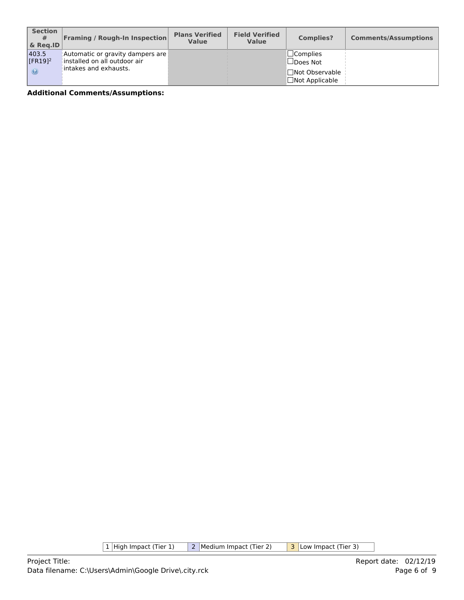| <b>Section</b><br>#<br>$\&$ Reg.ID   | <b>Framing / Rough-In Inspection</b>                                                                        | <b>Plans Verified</b><br><b>Value</b> | <b>Field Verified</b><br><b>Value</b> | <b>Complies?</b>                                                                  | <b>Comments/Assumptions</b> |
|--------------------------------------|-------------------------------------------------------------------------------------------------------------|---------------------------------------|---------------------------------------|-----------------------------------------------------------------------------------|-----------------------------|
| 403.5<br><b>IFR1912</b><br>$\bullet$ | Automatic or gravity dampers are  <br>$\vert$ installed on all outdoor air $\vert$<br>intakes and exhausts. |                                       |                                       | $\sqcup$ Complies<br>$\Box$ Does Not<br> ∏Not Observable<br>$\Box$ Not Applicable |                             |

 $\boxed{1}$  High Impact (Tier 1)  $\boxed{2}$  Medium Impact (Tier 2)  $\boxed{3}$  Low Impact (Tier 3)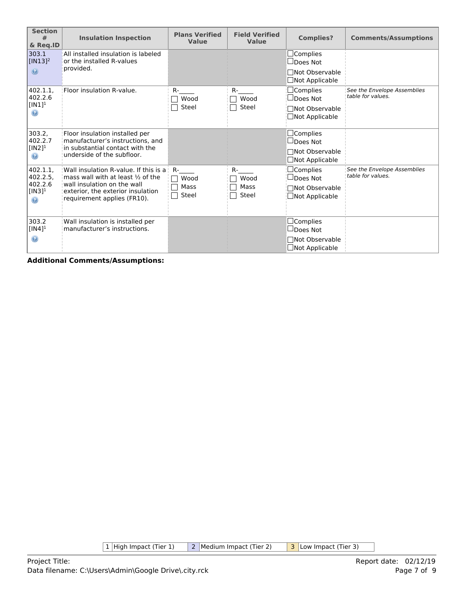| <b>Section</b><br>#<br>& Req.ID   | <b>Insulation Inspection</b>                                                                    | <b>Plans Verified</b><br>Value | <b>Field Verified</b><br>Value | <b>Complies?</b>                                 | <b>Comments/Assumptions</b>                      |
|-----------------------------------|-------------------------------------------------------------------------------------------------|--------------------------------|--------------------------------|--------------------------------------------------|--------------------------------------------------|
| 303.1<br>$[IN13]^{2}$             | All installed insulation is labeled<br>or the installed R-values<br>provided.                   |                                |                                | $\square$ Complies<br>□Does Not                  |                                                  |
| $\circledcirc$                    |                                                                                                 |                                |                                | □Not Observable<br>$\Box$ Not Applicable         |                                                  |
| 402.1.1,<br>402.2.6               | Floor insulation R-value.                                                                       | $R -$<br>Wood                  | $R-$<br>Wood                   | $\Box$ Complies<br>$\Box$ Does Not               | See the Envelope Assemblies<br>table for values. |
| [IN1] $^1$<br>◉                   |                                                                                                 | Steel                          | Steel                          | $\sqcap$ Not Observable<br>$\Box$ Not Applicable |                                                  |
| 303.2,<br>402.2.7                 | Floor insulation installed per<br>manufacturer's instructions, and                              |                                |                                | $\Box$ Complies<br>$\square$ Does Not            |                                                  |
| [IN2] $^1$<br>$\odot$             | in substantial contact with the<br>underside of the subfloor.                                   |                                |                                | <b>□Not Observable</b><br>$\Box$ Not Applicable  |                                                  |
| 402.1.1.<br>$402.2.5$ ,           | Wall insulation R-value. If this is a<br>mass wall with at least $\frac{1}{2}$ of the           | $R -$<br>Wood                  | $R-$<br>Wood                   | $\Box$ Complies<br>⊿Does Not                     | See the Envelope Assemblies<br>table for values. |
| 402.2.6<br>$[IN3]^{1}$<br>$\odot$ | wall insulation on the wall<br>exterior, the exterior insulation<br>requirement applies (FR10). | Mass<br>Steel                  | Mass<br>Steel                  | Not Observable<br>⊿Not Applicable                |                                                  |
| 303.2<br>$[IN4]$ <sup>1</sup>     | Wall insulation is installed per<br>manufacturer's instructions.                                |                                |                                | $\Box$ Complies<br>□Does Not                     |                                                  |
| ◉                                 |                                                                                                 |                                |                                | <b>□Not Observable</b><br>□Not Applicable        |                                                  |

 $\boxed{1}$  High Impact (Tier 1)  $\boxed{2}$  Medium Impact (Tier 2)  $\boxed{3}$  Low Impact (Tier 3)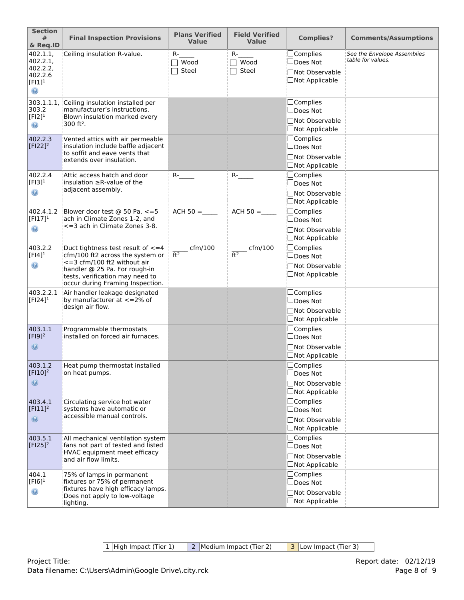| <b>Section</b><br>#<br>& Req.ID                                                       | <b>Final Inspection Provisions</b>                                                                                                                                                                                            | <b>Plans Verified</b><br><b>Value</b> | <b>Field Verified</b><br><b>Value</b> | <b>Complies?</b>                                                                     | <b>Comments/Assumptions</b>                      |
|---------------------------------------------------------------------------------------|-------------------------------------------------------------------------------------------------------------------------------------------------------------------------------------------------------------------------------|---------------------------------------|---------------------------------------|--------------------------------------------------------------------------------------|--------------------------------------------------|
| 402.1.1,<br>402.2.1,<br>402.2.2,<br>402.2.6<br>$[FI1]$ <sup>1</sup><br>$\circledcirc$ | Ceiling insulation R-value.                                                                                                                                                                                                   | $R-$<br>$\Box$ Wood<br>Steel          | $R-$<br>Wood<br>Steel                 | ∣□Complies<br>$\Box$ Does Not<br>□Not Observable<br>□Not Applicable                  | See the Envelope Assemblies<br>table for values. |
| 303.1.1.1,<br>303.2<br>$[F12]$ <sup>1</sup><br>$_{\odot}$                             | Ceiling insulation installed per<br>manufacturer's instructions.<br>Blown insulation marked every<br>$300$ ft <sup>2</sup> .                                                                                                  |                                       |                                       | $\square$ Complies<br>$\square$ Does Not<br>□Not Observable<br>$\Box$ Not Applicable |                                                  |
| 402.2.3<br>$[$ FI22] <sup>2</sup>                                                     | Vented attics with air permeable<br>insulation include baffle adjacent<br>to soffit and eave vents that<br>extends over insulation.                                                                                           |                                       |                                       | $\Box$ Complies<br>$\Box$ Does Not<br>□Not Observable<br>$\Box$ Not Applicable       |                                                  |
| 402.2.4<br>$[F13]$ <sup>1</sup><br>$\odot$                                            | Attic access hatch and door<br>insulation $\geq$ R-value of the<br>adjacent assembly.                                                                                                                                         | $R$ -                                 | $R$ -                                 | <b>Complies</b><br>$\Box$ Does Not<br>□Not Observable<br>□Not Applicable             |                                                  |
| 402.4.1.2<br>$[FI17]^{1}$<br>$\circledast$                                            | Blower door test @ 50 Pa. <= 5<br>ach in Climate Zones 1-2, and<br><= 3 ach in Climate Zones 3-8.                                                                                                                             | $ACH 50 =$                            | $ACH 50 =$                            | $\Box$ Complies<br>$\square$ Does Not<br>□Not Observable<br><b>□Not Applicable</b>   |                                                  |
| 403.2.2<br>$[FI4]$ <sup>1</sup><br>$_{\odot}$                                         | Duct tightness test result of $\leq$ = 4<br>cfm/100 ft2 across the system or<br>$\epsilon$ =3 cfm/100 ft2 without air<br>handler @ 25 Pa. For rough-in<br>tests, verification may need to<br>occur during Framing Inspection. | $-$ cfm/100<br>$\overline{ft^2}$      | $_{\rm -}$ cfm/100<br>ft <sup>2</sup> | ⊡Complies<br>$\square$ Does Not<br>□Not Observable<br>□Not Applicable                |                                                  |
| 403.2.2.1<br>$[FI24]$ <sup>1</sup>                                                    | Air handler leakage designated<br>by manufacturer at <= 2% of<br>design air flow.                                                                                                                                             |                                       |                                       | $\Box$ Complies<br>$\Box$ Does Not<br>□Not Observable<br>□Not Applicable             |                                                  |
| 403.1.1<br>$[F19]^{2}$<br>$\odot$                                                     | Programmable thermostats<br>installed on forced air furnaces.                                                                                                                                                                 |                                       |                                       | $\Box$ Complies<br>$\Box$ Does Not<br>□Not Observable<br>□Not Applicable             |                                                  |
| 403.1.2<br>[FI10] <sup>2</sup><br>$\odot$                                             | Heat pump thermostat installed<br>on heat pumps.                                                                                                                                                                              |                                       |                                       | $\Box$ Complies<br>□Does Not<br>□Not Observable<br>□Not Applicable                   |                                                  |
| 403.4.1<br>$[F111]^2$<br>$\odot$                                                      | Circulating service hot water<br>systems have automatic or<br>accessible manual controls.                                                                                                                                     |                                       |                                       | $\Box$ Complies<br>$\Box$ Does Not<br>□Not Observable<br>□Not Applicable             |                                                  |
| 403.5.1<br>$[F125]^{2}$                                                               | All mechanical ventilation system<br>fans not part of tested and listed<br>HVAC equipment meet efficacy<br>and air flow limits.                                                                                               |                                       |                                       | $\Box$ Complies<br>$\Box$ Does Not<br>□Not Observable<br>□Not Applicable             |                                                  |
| 404.1<br>$[F16]$ <sup>1</sup><br>$_{\textcircled{\scriptsize{s}}}$                    | 75% of lamps in permanent<br>fixtures or 75% of permanent<br>fixtures have high efficacy lamps.<br>Does not apply to low-voltage<br>lighting.                                                                                 |                                       |                                       | $\Box$ Complies<br>$\Box$ Does Not<br>□Not Observable<br>□Not Applicable             |                                                  |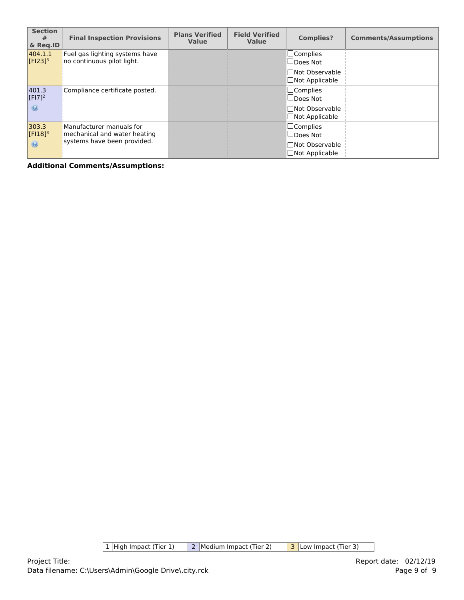| <b>Section</b><br>#<br>& Reg.ID  | <b>Final Inspection Provisions</b>                           | <b>Plans Verified</b><br><b>Value</b> | <b>Field Verified</b><br><b>Value</b> | <b>Complies?</b>                               | <b>Comments/Assumptions</b> |
|----------------------------------|--------------------------------------------------------------|---------------------------------------|---------------------------------------|------------------------------------------------|-----------------------------|
| 404.1.1<br>$[FI23]$ <sup>3</sup> | Fuel gas lighting systems have<br>no continuous pilot light. |                                       |                                       | $\Box$ Complies<br>$\Box$ Does Not             |                             |
|                                  |                                                              |                                       |                                       | <b>Not Observable</b><br>$\Box$ Not Applicable |                             |
| 401.3<br>$[F17]^{2}$             | Compliance certificate posted.                               |                                       |                                       | $\Box$ Complies<br>$\Box$ Does Not             |                             |
| $\odot$                          |                                                              |                                       |                                       | <b>Not Observable</b><br>$\Box$ Not Applicable |                             |
| 303.3<br>$[FI18]$ <sup>3</sup>   | Manufacturer manuals for<br>mechanical and water heating     |                                       |                                       | $\Box$ Complies<br>□Does Not                   |                             |
| $\odot$                          | systems have been provided.                                  |                                       |                                       | □Not Observable<br>$\Box$ Not Applicable       |                             |